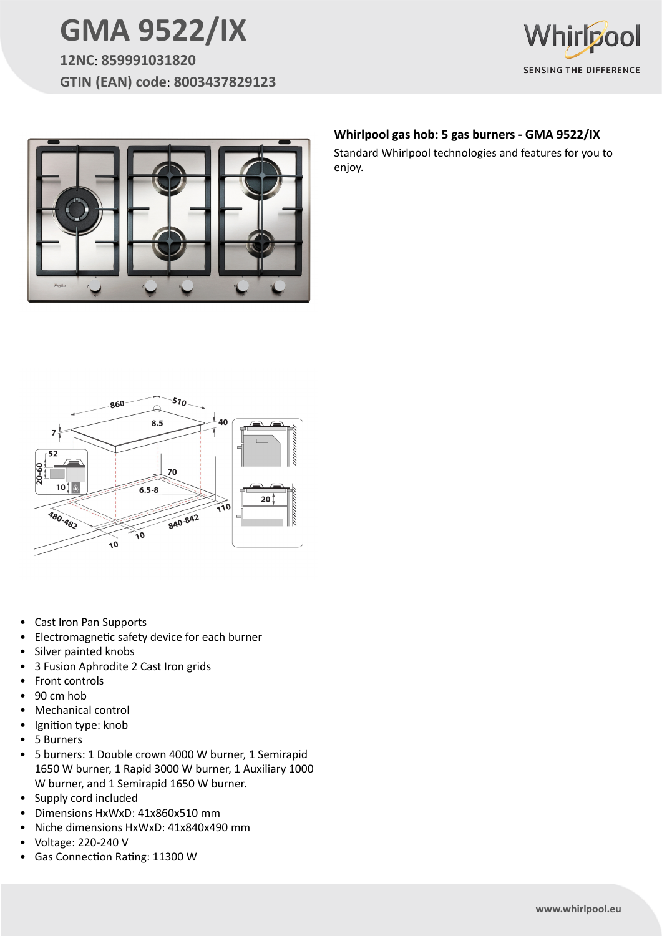





## **Whirlpool gas hob: 5 gas burners - GMA 9522/IX**

Standard Whirlpool technologies and features for you to enjoy.



- Cast Iron Pan Supports
- Electromagnetic safety device for each burner
- Silver painted knobs
- 3 Fusion Aphrodite 2 Cast Iron grids
- Front controls
- 90 cm hob
- Mechanical control
- Ignition type: knob
- 5 Burners
- 5 burners: 1 Double crown 4000 W burner, 1 Semirapid 1650 W burner, 1 Rapid 3000 W burner, 1 Auxiliary 1000 W burner, and 1 Semirapid 1650 W burner.
- Supply cord included
- Dimensions HxWxD: 41x860x510 mm
- Niche dimensions HxWxD: 41x840x490 mm
- Voltage: 220-240 V
- Gas Connection Rating: 11300 W